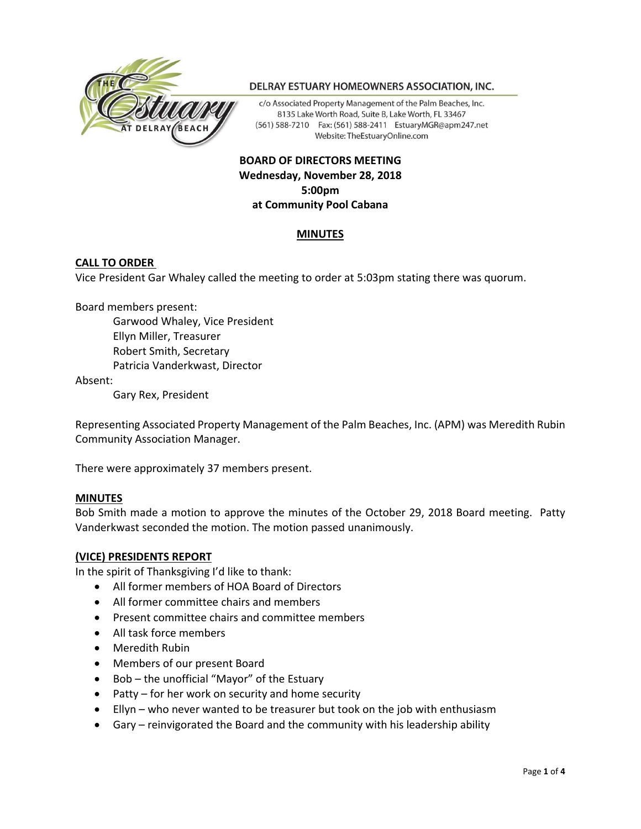

#### DELRAY ESTUARY HOMEOWNERS ASSOCIATION, INC.

c/o Associated Property Management of the Palm Beaches, Inc. 8135 Lake Worth Road, Suite B, Lake Worth, FL 33467 (561) 588-7210 Fax: (561) 588-2411 EstuaryMGR@apm247.net Website: TheEstuaryOnline.com

# **BOARD OF DIRECTORS MEETING Wednesday, November 28, 2018 5:00pm at Community Pool Cabana**

## **MINUTES**

### **CALL TO ORDER**

Vice President Gar Whaley called the meeting to order at 5:03pm stating there was quorum.

Board members present:

Garwood Whaley, Vice President Ellyn Miller, Treasurer Robert Smith, Secretary Patricia Vanderkwast, Director

Absent:

Gary Rex, President

Representing Associated Property Management of the Palm Beaches, Inc. (APM) was Meredith Rubin Community Association Manager.

There were approximately 37 members present.

#### **MINUTES**

Bob Smith made a motion to approve the minutes of the October 29, 2018 Board meeting. Patty Vanderkwast seconded the motion. The motion passed unanimously.

#### **(VICE) PRESIDENTS REPORT**

In the spirit of Thanksgiving I'd like to thank:

- All former members of HOA Board of Directors
- All former committee chairs and members
- Present committee chairs and committee members
- All task force members
- Meredith Rubin
- Members of our present Board
- Bob the unofficial "Mayor" of the Estuary
- Patty for her work on security and home security
- Ellyn who never wanted to be treasurer but took on the job with enthusiasm
- Gary reinvigorated the Board and the community with his leadership ability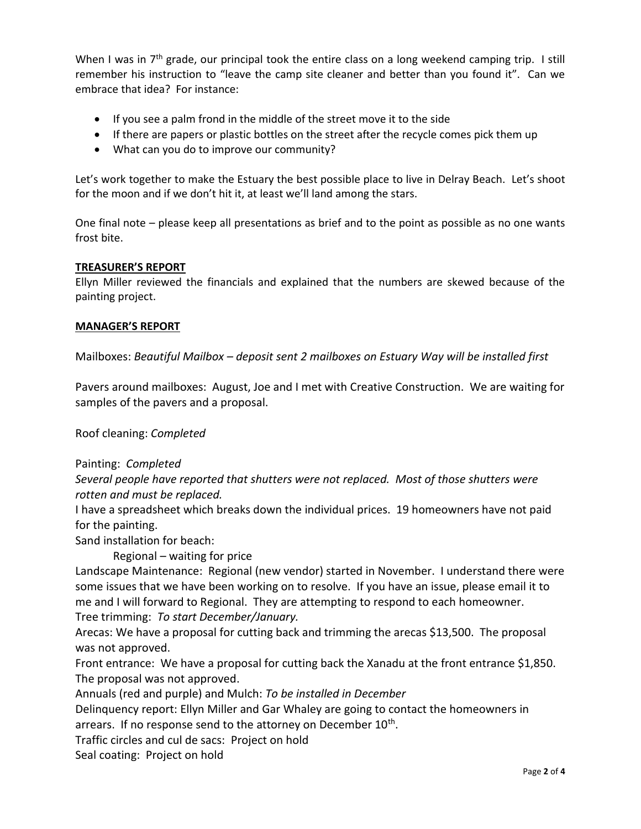When I was in  $7<sup>th</sup>$  grade, our principal took the entire class on a long weekend camping trip. I still remember his instruction to "leave the camp site cleaner and better than you found it". Can we embrace that idea? For instance:

- If you see a palm frond in the middle of the street move it to the side
- If there are papers or plastic bottles on the street after the recycle comes pick them up
- What can you do to improve our community?

Let's work together to make the Estuary the best possible place to live in Delray Beach. Let's shoot for the moon and if we don't hit it, at least we'll land among the stars.

One final note – please keep all presentations as brief and to the point as possible as no one wants frost bite.

## **TREASURER'S REPORT**

Ellyn Miller reviewed the financials and explained that the numbers are skewed because of the painting project.

# **MANAGER'S REPORT**

Mailboxes: *Beautiful Mailbox – deposit sent 2 mailboxes on Estuary Way will be installed first* 

Pavers around mailboxes: August, Joe and I met with Creative Construction. We are waiting for samples of the pavers and a proposal.

Roof cleaning: *Completed*

# Painting: *Completed*

*Several people have reported that shutters were not replaced. Most of those shutters were rotten and must be replaced.*

I have a spreadsheet which breaks down the individual prices. 19 homeowners have not paid for the painting.

Sand installation for beach:

Regional – waiting for price

Landscape Maintenance: Regional (new vendor) started in November. I understand there were some issues that we have been working on to resolve. If you have an issue, please email it to me and I will forward to Regional. They are attempting to respond to each homeowner. Tree trimming: *To start December/January.*

Arecas: We have a proposal for cutting back and trimming the arecas \$13,500. The proposal was not approved.

Front entrance: We have a proposal for cutting back the Xanadu at the front entrance \$1,850. The proposal was not approved.

Annuals (red and purple) and Mulch: *To be installed in December*

Delinquency report: Ellyn Miller and Gar Whaley are going to contact the homeowners in arrears. If no response send to the attorney on December 10<sup>th</sup>.

Traffic circles and cul de sacs: Project on hold

Seal coating: Project on hold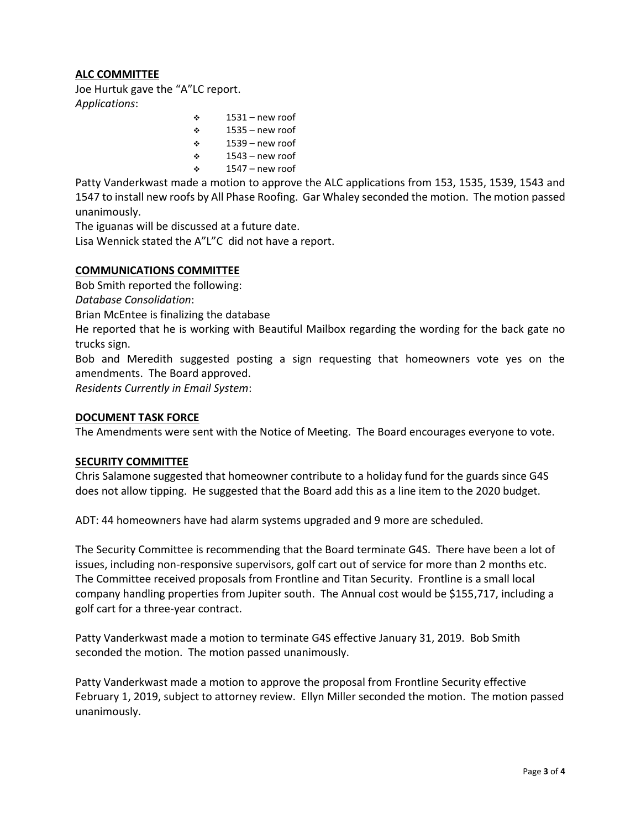# **ALC COMMITTEE**

Joe Hurtuk gave the "A"LC report. *Applications*:

> $\div$  1531 – new roof  $\div$  1535 – new roof  $\div$  1539 – new roof  $\div$  1543 – new roof  $\div$  1547 – new roof

Patty Vanderkwast made a motion to approve the ALC applications from 153, 1535, 1539, 1543 and 1547 to install new roofs by All Phase Roofing. Gar Whaley seconded the motion. The motion passed unanimously.

The iguanas will be discussed at a future date.

Lisa Wennick stated the A"L"C did not have a report.

# **COMMUNICATIONS COMMITTEE**

Bob Smith reported the following:

*Database Consolidation*:

Brian McEntee is finalizing the database

He reported that he is working with Beautiful Mailbox regarding the wording for the back gate no trucks sign.

Bob and Meredith suggested posting a sign requesting that homeowners vote yes on the amendments. The Board approved.

*Residents Currently in Email System*:

## **DOCUMENT TASK FORCE**

The Amendments were sent with the Notice of Meeting. The Board encourages everyone to vote.

## **SECURITY COMMITTEE**

Chris Salamone suggested that homeowner contribute to a holiday fund for the guards since G4S does not allow tipping. He suggested that the Board add this as a line item to the 2020 budget.

ADT: 44 homeowners have had alarm systems upgraded and 9 more are scheduled.

The Security Committee is recommending that the Board terminate G4S. There have been a lot of issues, including non-responsive supervisors, golf cart out of service for more than 2 months etc. The Committee received proposals from Frontline and Titan Security. Frontline is a small local company handling properties from Jupiter south. The Annual cost would be \$155,717, including a golf cart for a three-year contract.

Patty Vanderkwast made a motion to terminate G4S effective January 31, 2019. Bob Smith seconded the motion. The motion passed unanimously.

Patty Vanderkwast made a motion to approve the proposal from Frontline Security effective February 1, 2019, subject to attorney review. Ellyn Miller seconded the motion. The motion passed unanimously.